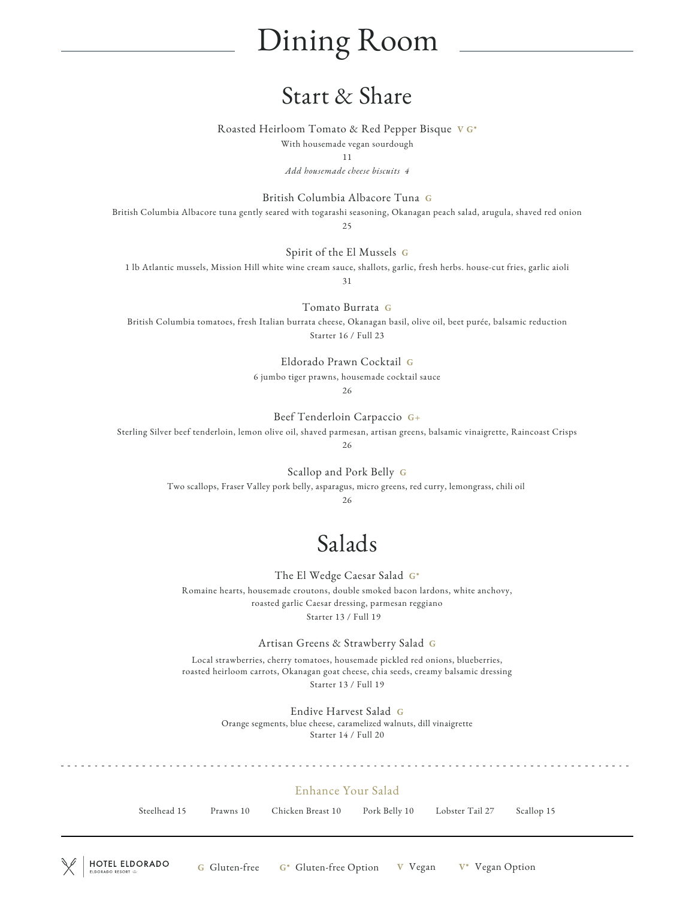# Dining Room

## Start & Share

Roasted Heirloom Tomato & Red Pepper Bisque V G\*

With housemade vegan sourdough

11

*Add housemade cheese biscuits 4*

British Columbia Albacore Tuna G

British Columbia Albacore tuna gently seared with togarashi seasoning, Okanagan peach salad, arugula, shaved red onion 25

Spirit of the El Mussels G

1 lb Atlantic mussels, Mission Hill white wine cream sauce, shallots, garlic, fresh herbs. house-cut fries, garlic aioli 31

Tomato Burrata G

British Columbia tomatoes, fresh Italian burrata cheese, Okanagan basil, olive oil, beet purée, balsamic reduction Starter 16 / Full 23

> Eldorado Prawn Cocktail G 6 jumbo tiger prawns, housemade cocktail sauce

26

Beef Tenderloin Carpaccio G+

Sterling Silver beef tenderloin, lemon olive oil, shaved parmesan, artisan greens, balsamic vinaigrette, Raincoast Crisps

26

Scallop and Pork Belly G

Two scallops, Fraser Valley pork belly, asparagus, micro greens, red curry, lemongrass, chili oil

26

# Salads

The El Wedge Caesar Salad G\* Romaine hearts, housemade croutons, double smoked bacon lardons, white anchovy,

roasted garlic Caesar dressing, parmesan reggiano Starter 13 / Full 19

Artisan Greens & Strawberry Salad G

Local strawberries, cherry tomatoes, housemade pickled red onions, blueberries, roasted heirloom carrots, Okanagan goat cheese, chia seeds, creamy balsamic dressing Starter 13 / Full 19

> Endive Harvest Salad G Orange segments, blue cheese, caramelized walnuts, dill vinaigrette Starter 14 / Full 20

#### Enhance Your Salad

Steelhead 15 Prawns 10 Chicken Breast 10 Pork Belly 10 Lobster Tail 27 Scallop 15